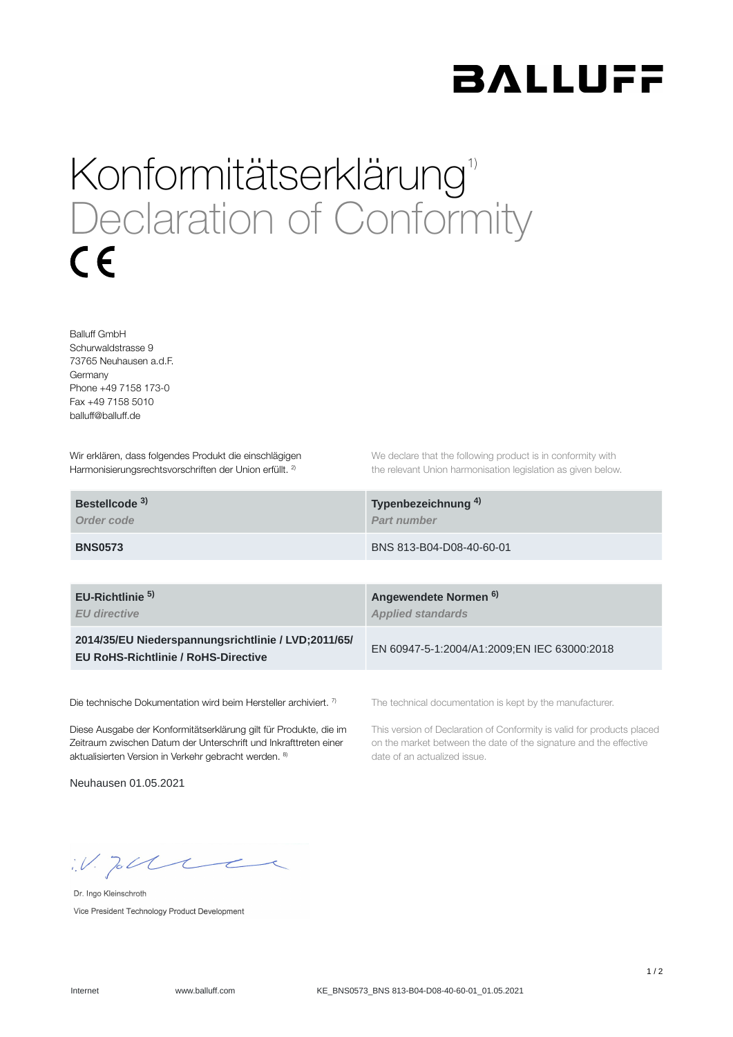

## Konformitätserklärung<sup>1)</sup> Declaration of Conformity  $\epsilon$

Balluff GmbH Schurwaldstrasse 9 73765 Neuhausen a.d.F. Germany Phone +49 7158 173-0 Fax +49 7158 5010 balluff@balluff.de

Wir erklären, dass folgendes Produkt die einschlägigen Harmonisierungsrechtsvorschriften der Union erfüllt. <sup>2)</sup>

We declare that the following product is in conformity with the relevant Union harmonisation legislation as given below.

| Bestellcode <sup>3)</sup> | Typenbezeichnung <sup>4)</sup> |
|---------------------------|--------------------------------|
| Order code                | <b>Part number</b>             |
| <b>BNS0573</b>            | BNS 813-B04-D08-40-60-01       |

**EU-Richtlinie** 

*EU directive*

**2014/35/EU Niederspannungsrichtlinie / LVD;2011/65/ EU RoHS-Richtlinie / RoHS-Directive**

Die technische Dokumentation wird beim Hersteller archiviert. 7)

Diese Ausgabe der Konformitätserklärung gilt für Produkte, die im Zeitraum zwischen Datum der Unterschrift und Inkrafttreten einer aktualisierten Version in Verkehr gebracht werden. 8)

Neuhausen 01.05.2021

**Angewendete Normen 5) 6)***Applied standards*

EN 60947-5-1:2004/A1:2009;EN IEC 63000:2018

The technical documentation is kept by the manufacturer.

This version of Declaration of Conformity is valid for products placed on the market between the date of the signature and the effective date of an actualized issue.

 $W.$  Jobb  $C$ 

Dr. Ingo Kleinschroth Vice President Technology Product Development